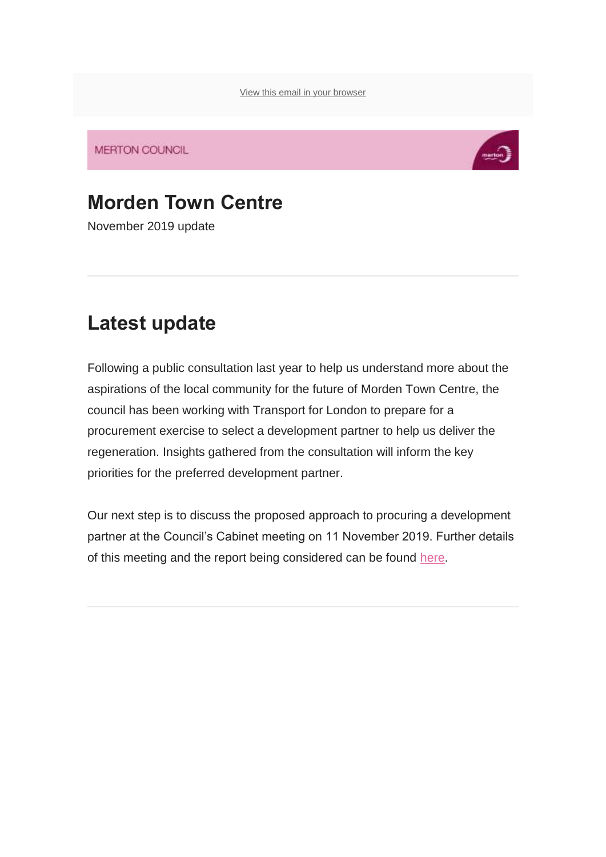[View this email in your browser](https://urldefense.proofpoint.com/v2/url?u=https-3A__mailchi.mp_37391088fefa_moremorden-2Dnewsletter-2Dnovember2019-3Fe-3D2e28457cc5&d=DwMFaQ&c=HmJinpA0me9MkKQ19xEDwK7irBsCvGfF6AWwfMZqono&r=YXni9ZN0hlQxZmUY34uA7VwdRo7Dm_-8qpf6Otn2zrk&m=McJCWXKSUPq3V8AVdlkZAn0uBHP0hEVG4ph5HBH1fwY&s=ztQfqVsBe8fOpKkhc8SWlTJlqVlvZXJ3X02ji64T3c8&e=)

**MERTON COUNCIL** 



# **Morden Town Centre**

November 2019 update

### **Latest update**

Following a public consultation last year to help us understand more about the aspirations of the local community for the future of Morden Town Centre, the council has been working with Transport for London to prepare for a procurement exercise to select a development partner to help us deliver the regeneration. Insights gathered from the consultation will inform the key priorities for the preferred development partner.

Our next step is to discuss the proposed approach to procuring a development partner at the Council's Cabinet meeting on 11 November 2019. Further details of this meeting and the report being considered can be found [here.](https://urldefense.proofpoint.com/v2/url?u=https-3A__merton.us2.list-2Dmanage.com_track_click-3Fu-3D67de0ff37ea716aaed87aa01c-26id-3D93ce6d32ba-26e-3D2e28457cc5&d=DwMFaQ&c=HmJinpA0me9MkKQ19xEDwK7irBsCvGfF6AWwfMZqono&r=YXni9ZN0hlQxZmUY34uA7VwdRo7Dm_-8qpf6Otn2zrk&m=McJCWXKSUPq3V8AVdlkZAn0uBHP0hEVG4ph5HBH1fwY&s=kqQNJQrCRasmr7w40wYEnYXUFKfE2dtIxCZ7bStgbi8&e=)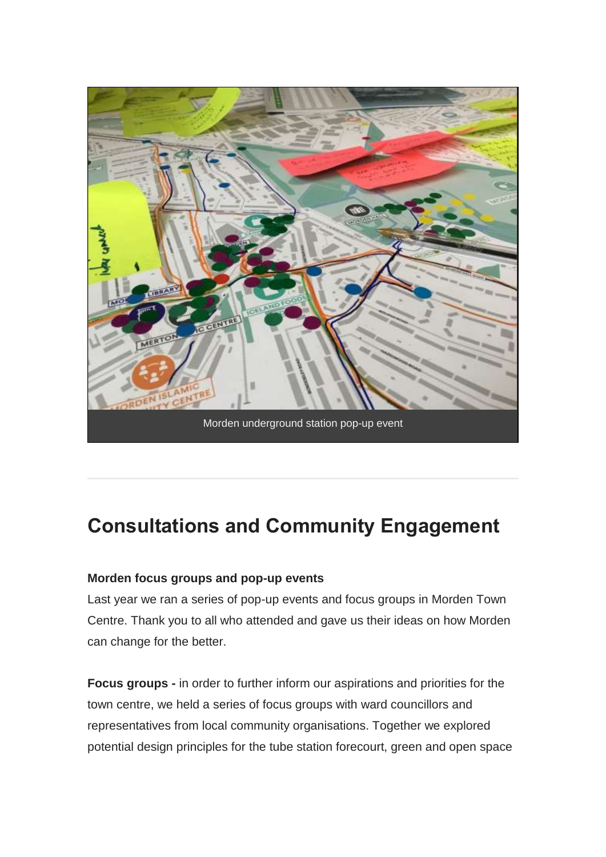

#### **Consultations and Community Engagement**

#### **Morden focus groups and pop-up events**

Last year we ran a series of pop-up events and focus groups in Morden Town Centre. Thank you to all who attended and gave us their ideas on how Morden can change for the better.

**Focus groups -** in order to further inform our aspirations and priorities for the town centre, we held a series of focus groups with ward councillors and representatives from local community organisations. Together we explored potential design principles for the tube station forecourt, green and open space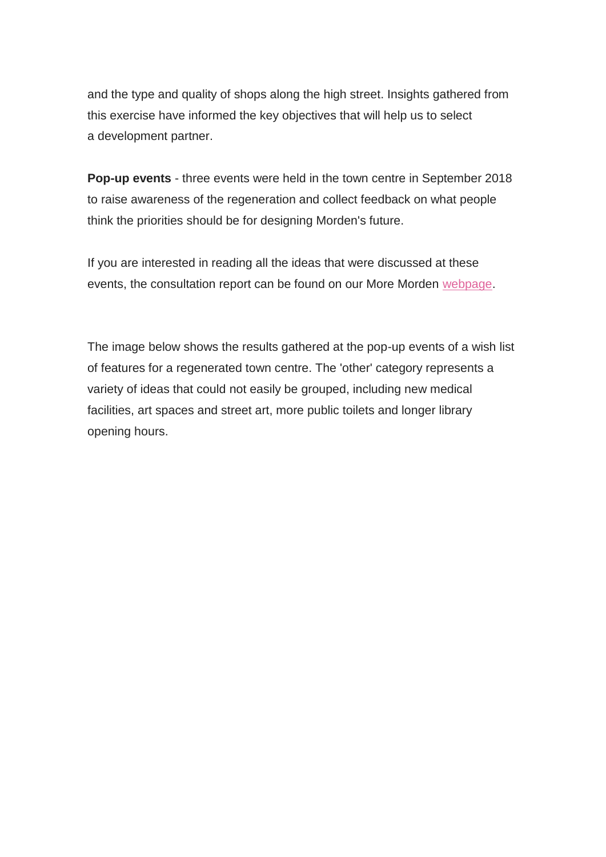and the type and quality of shops along the high street. Insights gathered from this exercise have informed the key objectives that will help us to select a development partner.

**Pop-up events** - three events were held in the town centre in September 2018 to raise awareness of the regeneration and collect feedback on what people think the priorities should be for designing Morden's future.

If you are interested in reading all the ideas that were discussed at these events, the consultation report can be found on our More Morden [webpage.](https://urldefense.proofpoint.com/v2/url?u=https-3A__merton.us2.list-2Dmanage.com_track_click-3Fu-3D67de0ff37ea716aaed87aa01c-26id-3Dea300a5417-26e-3D2e28457cc5&d=DwMFaQ&c=HmJinpA0me9MkKQ19xEDwK7irBsCvGfF6AWwfMZqono&r=YXni9ZN0hlQxZmUY34uA7VwdRo7Dm_-8qpf6Otn2zrk&m=McJCWXKSUPq3V8AVdlkZAn0uBHP0hEVG4ph5HBH1fwY&s=IjY0VqXqqYeYJTzVwpC-rSlts4LDOyoTqMZEWKMyAdw&e=)

The image below shows the results gathered at the pop-up events of a wish list of features for a regenerated town centre. The 'other' category represents a variety of ideas that could not easily be grouped, including new medical facilities, art spaces and street art, more public toilets and longer library opening hours.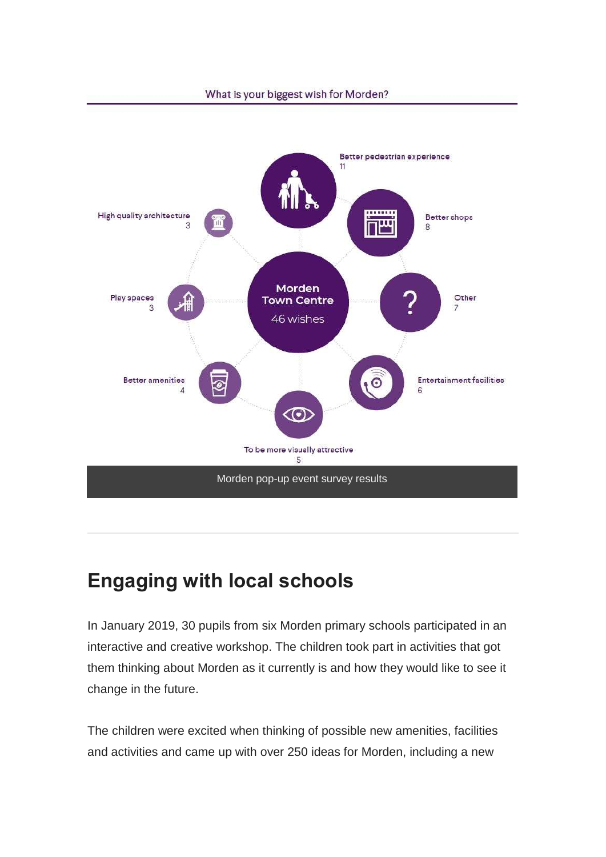

# **Engaging with local schools**

In January 2019, 30 pupils from six Morden primary schools participated in an interactive and creative workshop. The children took part in activities that got them thinking about Morden as it currently is and how they would like to see it change in the future.

The children were excited when thinking of possible new amenities, facilities and activities and came up with over 250 ideas for Morden, including a new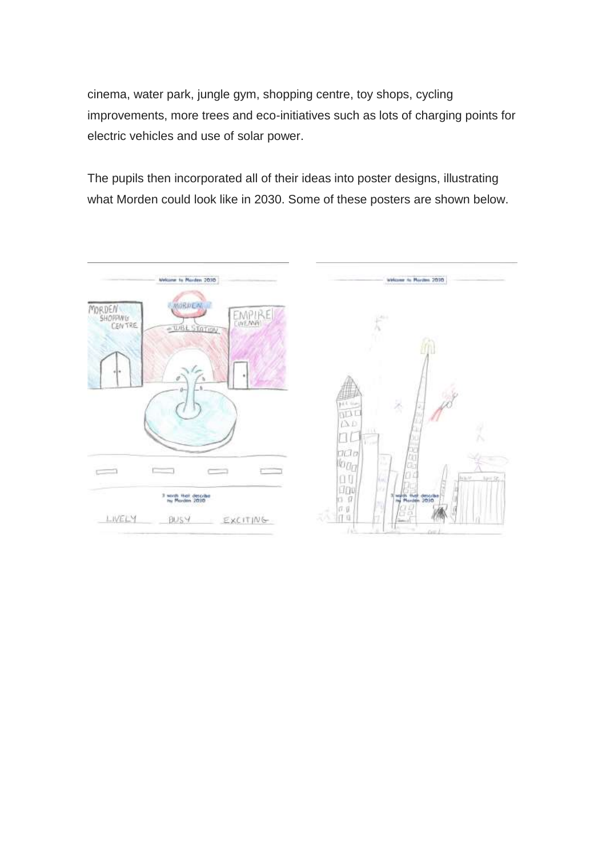cinema, water park, jungle gym, shopping centre, toy shops, cycling improvements, more trees and eco-initiatives such as lots of charging points for electric vehicles and use of solar power.

The pupils then incorporated all of their ideas into poster designs, illustrating what Morden could look like in 2030. Some of these posters are shown below.

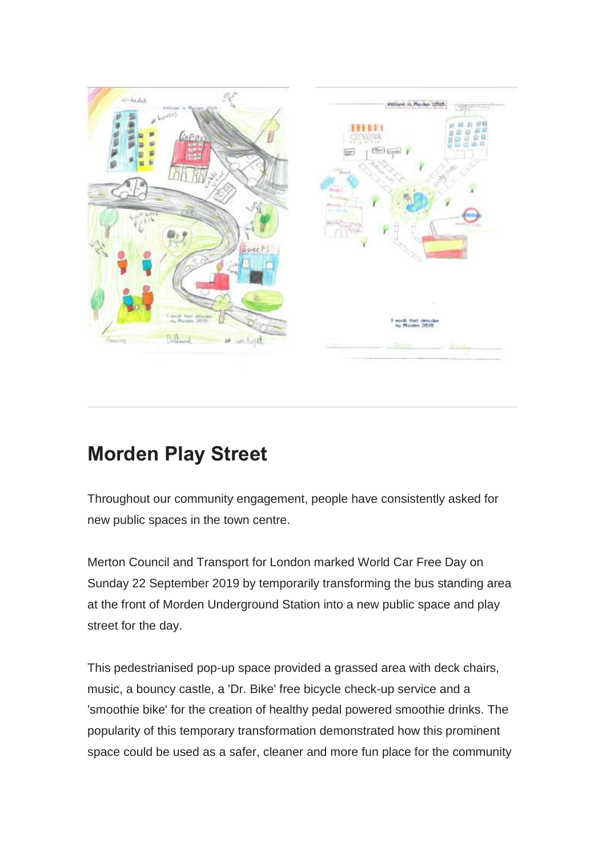

### **Morden Play Street**

Throughout our community engagement, people have consistently asked for new public spaces in the town centre.

Merton Council and Transport for London marked World Car Free Day on Sunday 22 September 2019 by temporarily transforming the bus standing area at the front of Morden Underground Station into a new public space and play street for the day.

This pedestrianised pop-up space provided a grassed area with deck chairs, music, a bouncy castle, a 'Dr. Bike' free bicycle check-up service and a 'smoothie bike' for the creation of healthy pedal powered smoothie drinks. The popularity of this temporary transformation demonstrated how this prominent space could be used as a safer, cleaner and more fun place for the community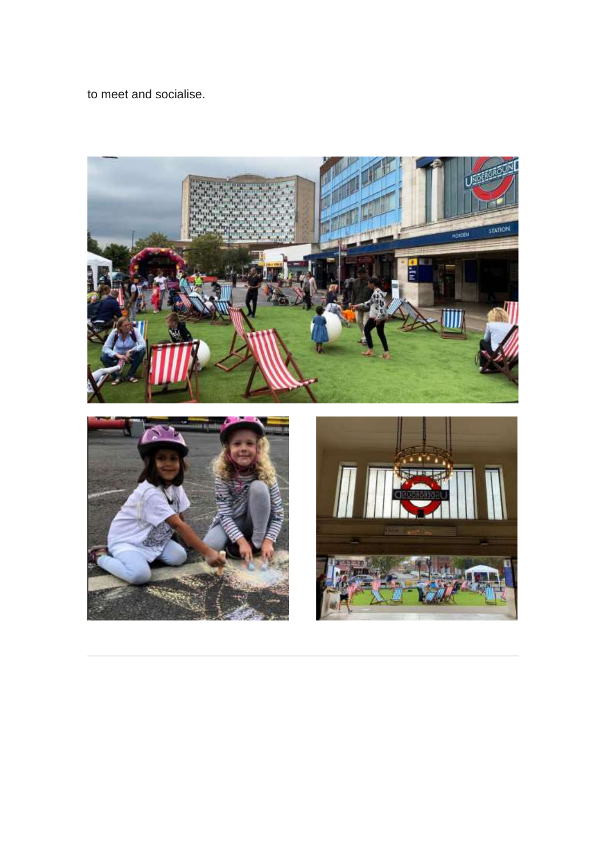to meet and socialise.